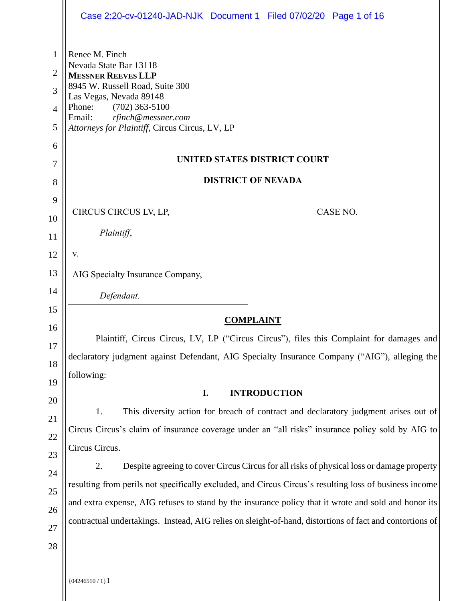|                                                                                 | Case 2:20-cv-01240-JAD-NJK Document 1 Filed 07/02/20 Page 1 of 16                                                                                                                                                                                                                                                                                                                                                                                                                                                                                   |                                                                                                                                            |  |  |  |
|---------------------------------------------------------------------------------|-----------------------------------------------------------------------------------------------------------------------------------------------------------------------------------------------------------------------------------------------------------------------------------------------------------------------------------------------------------------------------------------------------------------------------------------------------------------------------------------------------------------------------------------------------|--------------------------------------------------------------------------------------------------------------------------------------------|--|--|--|
| 1<br>2<br>3<br>$\overline{4}$<br>5<br>6<br>7<br>8                               | Renee M. Finch<br>Nevada State Bar 13118<br><b>MESSNER REEVES LLP</b><br>8945 W. Russell Road, Suite 300<br>Las Vegas, Nevada 89148<br>Phone:<br>$(702)$ 363-5100<br>Email:<br>rfinch@messner.com<br>Attorneys for Plaintiff, Circus Circus, LV, LP                                                                                                                                                                                                                                                                                                 | <b>UNITED STATES DISTRICT COURT</b><br><b>DISTRICT OF NEVADA</b>                                                                           |  |  |  |
| 9<br>10<br>11<br>12<br>13<br>14<br>15<br>16<br>17<br>18<br>19<br>20<br>21<br>22 | CIRCUS CIRCUS LV, LP,<br>Plaintiff,<br>V.<br>AIG Specialty Insurance Company,<br>Defendant.<br>Plaintiff, Circus Circus, LV, LP ("Circus Circus"), files this Complaint for damages and<br>declaratory judgment against Defendant, AIG Specialty Insurance Company ("AIG"), alleging the<br>following:<br>I.<br>1.                                                                                                                                                                                                                                  | CASE NO.<br><b>COMPLAINT</b><br><b>INTRODUCTION</b><br>This diversity action for breach of contract and declaratory judgment arises out of |  |  |  |
| 23<br>24<br>25<br>26<br>27<br>28                                                | Circus Circus's claim of insurance coverage under an "all risks" insurance policy sold by AIG to<br>Circus Circus.<br>2.<br>Despite agreeing to cover Circus Circus for all risks of physical loss or damage property<br>resulting from perils not specifically excluded, and Circus Circus's resulting loss of business income<br>and extra expense, AIG refuses to stand by the insurance policy that it wrote and sold and honor its<br>contractual undertakings. Instead, AIG relies on sleight-of-hand, distortions of fact and contortions of |                                                                                                                                            |  |  |  |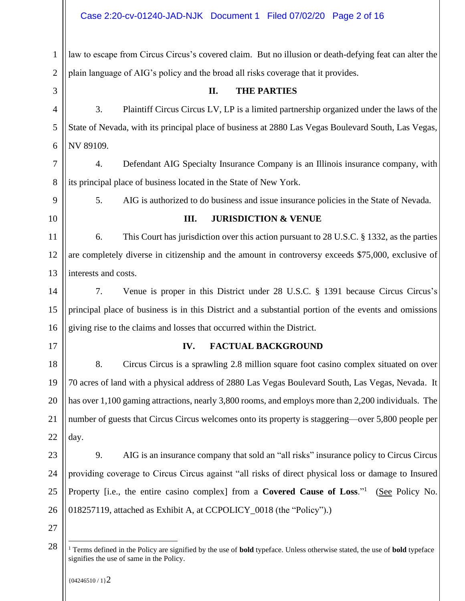| Case 2:20-cv-01240-JAD-NJK Document 1 Filed 07/02/20 Page 2 of 16 |  |  |
|-------------------------------------------------------------------|--|--|
|                                                                   |  |  |

| $\mathbf{1}$   | law to escape from Circus Circus's covered claim. But no illusion or death-defying feat can alter the                                                                                           |
|----------------|-------------------------------------------------------------------------------------------------------------------------------------------------------------------------------------------------|
| $\overline{2}$ | plain language of AIG's policy and the broad all risks coverage that it provides.                                                                                                               |
| 3              | II.<br><b>THE PARTIES</b>                                                                                                                                                                       |
| $\overline{4}$ | 3.<br>Plaintiff Circus Circus LV, LP is a limited partnership organized under the laws of the                                                                                                   |
| 5              | State of Nevada, with its principal place of business at 2880 Las Vegas Boulevard South, Las Vegas,                                                                                             |
| 6              | NV 89109.                                                                                                                                                                                       |
| 7              | Defendant AIG Specialty Insurance Company is an Illinois insurance company, with<br>4.                                                                                                          |
| 8              | its principal place of business located in the State of New York.                                                                                                                               |
| 9              | 5.<br>AIG is authorized to do business and issue insurance policies in the State of Nevada.                                                                                                     |
| 10             | <b>JURISDICTION &amp; VENUE</b><br>III.                                                                                                                                                         |
| 11             | 6.<br>This Court has jurisdiction over this action pursuant to 28 U.S.C. § 1332, as the parties                                                                                                 |
| 12             | are completely diverse in citizenship and the amount in controversy exceeds \$75,000, exclusive of                                                                                              |
| 13             | interests and costs.                                                                                                                                                                            |
| 14             | 7.<br>Venue is proper in this District under 28 U.S.C. § 1391 because Circus Circus's                                                                                                           |
| 15             | principal place of business is in this District and a substantial portion of the events and omissions                                                                                           |
| 16             | giving rise to the claims and losses that occurred within the District.                                                                                                                         |
| 17             | IV.<br><b>FACTUAL BACKGROUND</b>                                                                                                                                                                |
| 18             | 8.<br>Circus Circus is a sprawling 2.8 million square foot casino complex situated on over                                                                                                      |
| 19             | 70 acres of land with a physical address of 2880 Las Vegas Boulevard South, Las Vegas, Nevada. It                                                                                               |
| 20             | has over 1,100 gaming attractions, nearly 3,800 rooms, and employs more than 2,200 individuals. The                                                                                             |
| 21             | number of guests that Circus Circus welcomes onto its property is staggering—over 5,800 people per                                                                                              |
| 22             | day.                                                                                                                                                                                            |
| 23             | 9.<br>AIG is an insurance company that sold an "all risks" insurance policy to Circus Circus                                                                                                    |
| 24             | providing coverage to Circus Circus against "all risks of direct physical loss or damage to Insured                                                                                             |
| 25             | Property [i.e., the entire casino complex] from a Covered Cause of Loss."<br>(See Policy No.                                                                                                    |
| 26             | 018257119, attached as Exhibit A, at CCPOLICY_0018 (the "Policy").)                                                                                                                             |
| 27             |                                                                                                                                                                                                 |
| 28             | <sup>1</sup> Terms defined in the Policy are signified by the use of <b>bold</b> typeface. Unless otherwise stated, the use of <b>bold</b> typeface<br>signifies the use of same in the Policy. |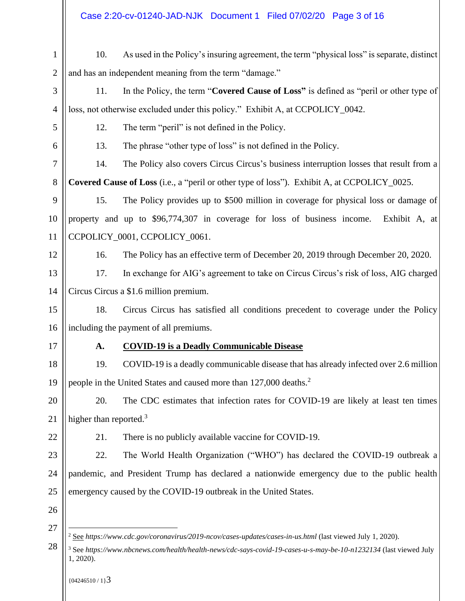# Case 2:20-cv-01240-JAD-NJK Document 1 Filed 07/02/20 Page 3 of 16

| $\mathbf{1}$   | 10.                                                                                                                                                                                                                                                                   | As used in the Policy's insuring agreement, the term "physical loss" is separate, distinct         |  |  |  |  |
|----------------|-----------------------------------------------------------------------------------------------------------------------------------------------------------------------------------------------------------------------------------------------------------------------|----------------------------------------------------------------------------------------------------|--|--|--|--|
| $\overline{2}$ |                                                                                                                                                                                                                                                                       | and has an independent meaning from the term "damage."                                             |  |  |  |  |
| 3              | 11.                                                                                                                                                                                                                                                                   | In the Policy, the term "Covered Cause of Loss" is defined as "peril or other type of              |  |  |  |  |
| 4              |                                                                                                                                                                                                                                                                       | loss, not otherwise excluded under this policy." Exhibit A, at CCPOLICY_0042.                      |  |  |  |  |
| 5              | 12.                                                                                                                                                                                                                                                                   | The term "peril" is not defined in the Policy.                                                     |  |  |  |  |
| 6              | 13.                                                                                                                                                                                                                                                                   | The phrase "other type of loss" is not defined in the Policy.                                      |  |  |  |  |
| $\tau$         | 14.                                                                                                                                                                                                                                                                   | The Policy also covers Circus Circus's business interruption losses that result from a             |  |  |  |  |
| 8              |                                                                                                                                                                                                                                                                       | <b>Covered Cause of Loss</b> (i.e., a "peril or other type of loss"). Exhibit A, at CCPOLICY_0025. |  |  |  |  |
| 9              | 15.                                                                                                                                                                                                                                                                   | The Policy provides up to \$500 million in coverage for physical loss or damage of                 |  |  |  |  |
| 10             |                                                                                                                                                                                                                                                                       | property and up to \$96,774,307 in coverage for loss of business income.<br>Exhibit A, at          |  |  |  |  |
| 11             |                                                                                                                                                                                                                                                                       | CCPOLICY_0001, CCPOLICY_0061.                                                                      |  |  |  |  |
| 12             | 16.                                                                                                                                                                                                                                                                   | The Policy has an effective term of December 20, 2019 through December 20, 2020.                   |  |  |  |  |
| 13             | 17.                                                                                                                                                                                                                                                                   | In exchange for AIG's agreement to take on Circus Circus's risk of loss, AIG charged               |  |  |  |  |
| 14             |                                                                                                                                                                                                                                                                       | Circus Circus a \$1.6 million premium.                                                             |  |  |  |  |
| 15             | 18.                                                                                                                                                                                                                                                                   | Circus Circus has satisfied all conditions precedent to coverage under the Policy                  |  |  |  |  |
| 16             | including the payment of all premiums.                                                                                                                                                                                                                                |                                                                                                    |  |  |  |  |
| 17             | A.                                                                                                                                                                                                                                                                    | <b>COVID-19 is a Deadly Communicable Disease</b>                                                   |  |  |  |  |
| 18             | 19.                                                                                                                                                                                                                                                                   | COVID-19 is a deadly communicable disease that has already infected over 2.6 million               |  |  |  |  |
| 19             |                                                                                                                                                                                                                                                                       | people in the United States and caused more than 127,000 deaths. <sup>2</sup>                      |  |  |  |  |
| 20             | 20.                                                                                                                                                                                                                                                                   | The CDC estimates that infection rates for COVID-19 are likely at least ten times                  |  |  |  |  |
| 21             | higher than reported. $3$                                                                                                                                                                                                                                             |                                                                                                    |  |  |  |  |
| 22             | 21.                                                                                                                                                                                                                                                                   | There is no publicly available vaccine for COVID-19.                                               |  |  |  |  |
| 23             | 22.                                                                                                                                                                                                                                                                   | The World Health Organization ("WHO") has declared the COVID-19 outbreak a                         |  |  |  |  |
| 24             |                                                                                                                                                                                                                                                                       | pandemic, and President Trump has declared a nationwide emergency due to the public health         |  |  |  |  |
| 25             |                                                                                                                                                                                                                                                                       | emergency caused by the COVID-19 outbreak in the United States.                                    |  |  |  |  |
| 26             |                                                                                                                                                                                                                                                                       |                                                                                                    |  |  |  |  |
| 27             |                                                                                                                                                                                                                                                                       |                                                                                                    |  |  |  |  |
| 28             | <sup>2</sup> See https://www.cdc.gov/coronavirus/2019-ncov/cases-updates/cases-in-us.html (last viewed July 1, 2020).<br><sup>3</sup> See https://www.nbcnews.com/health/health-news/cdc-says-covid-19-cases-u-s-may-be-10-n1232134 (last viewed July<br>$1, 2020$ ). |                                                                                                    |  |  |  |  |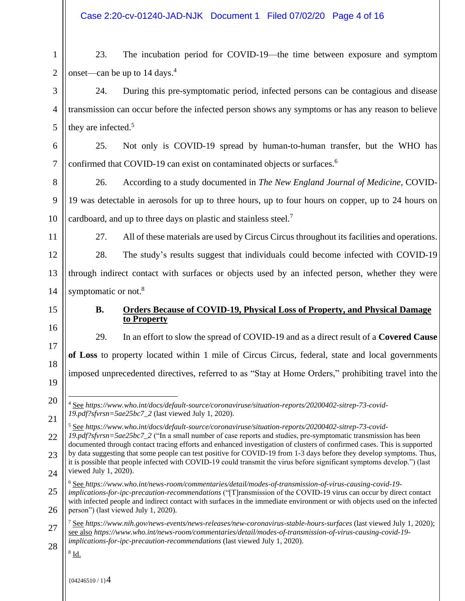$\mathfrak{D}$ 23. The incubation period for COVID-19—the time between exposure and symptom onset—can be up to 14 days.<sup>4</sup>

24. During this pre-symptomatic period, infected persons can be contagious and disease transmission can occur before the infected person shows any symptoms or has any reason to believe they are infected.<sup>5</sup>

6 7 25. Not only is COVID-19 spread by human-to-human transfer, but the WHO has confirmed that COVID-19 can exist on contaminated objects or surfaces.<sup>6</sup>

8 9 10 26. According to a study documented in *The New England Journal of Medicine*, COVID-19 was detectable in aerosols for up to three hours, up to four hours on copper, up to 24 hours on cardboard, and up to three days on plastic and stainless steel.<sup>7</sup>

11

1

3

4

5

27. All of these materials are used by Circus Circus throughout its facilities and operations.

12 13 14 28. The study's results suggest that individuals could become infected with COVID-19 through indirect contact with surfaces or objects used by an infected person, whether they were symptomatic or not.<sup>8</sup>

15

16

17

18

19

20

#### **B. Orders Because of COVID-19, Physical Loss of Property, and Physical Damage to Property**

29. In an effort to slow the spread of COVID-19 and as a direct result of a **Covered Cause of Loss** to property located within 1 mile of Circus Circus, federal, state and local governments imposed unprecedented directives, referred to as "Stay at Home Orders," prohibiting travel into the

21 22 23 24 <sup>5</sup> See *https://www.who.int/docs/default-source/coronaviruse/situation-reports/20200402-sitrep-73-covid-19.pdf?sfvrsn=5ae25bc7\_2* ("In a small number of case reports and studies, pre-symptomatic transmission has been documented through contact tracing efforts and enhanced investigation of clusters of confirmed cases. This is supported by data suggesting that some people can test positive for COVID-19 from 1-3 days before they develop symptoms. Thus, it is possible that people infected with COVID-19 could transmit the virus before significant symptoms develop.") (last viewed July 1, 2020).

25 26 <sup>6</sup> See *https://www.who.int/news-room/commentaries/detail/modes-of-transmission-of-virus-causing-covid-19 implications-for-ipc-precaution-recommendations* ("[T]ransmission of the COVID-19 virus can occur by direct contact with infected people and indirect contact with surfaces in the immediate environment or with objects used on the infected person") (last viewed July 1, 2020).

27 28 <sup>7</sup> See *https://www.nih.gov/news-events/news-releases/new-coronavirus-stable-hours-surfaces* (last viewed July 1, 2020); see also *https://www.who.int/news-room/commentaries/detail/modes-of-transmission-of-virus-causing-covid-19 implications-for-ipc-precaution-recommendations* (last viewed July 1, 2020).

 $8$   $\underline{\text{Id}}$ .

<sup>4</sup> See *https://www.who.int/docs/default-source/coronaviruse/situation-reports/20200402-sitrep-73-covid-19.pdf?sfvrsn=5ae25bc7\_2* (last viewed July 1, 2020).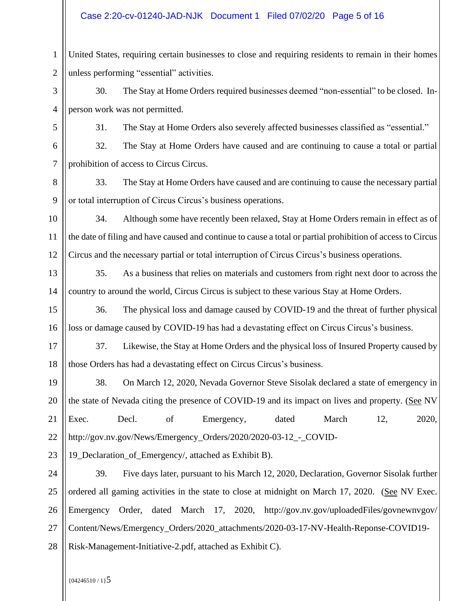#### Case 2:20-cv-01240-JAD-NJK Document 1 Filed 07/02/20 Page 5 of 16

1 2 United States, requiring certain businesses to close and requiring residents to remain in their homes unless performing "essential" activities.

3 4 30. The Stay at Home Orders required businesses deemed "non-essential" to be closed. Inperson work was not permitted.

5

31. The Stay at Home Orders also severely affected businesses classified as "essential."

6 7 32. The Stay at Home Orders have caused and are continuing to cause a total or partial prohibition of access to Circus Circus.

8 9 33. The Stay at Home Orders have caused and are continuing to cause the necessary partial or total interruption of Circus Circus's business operations.

10 11 12 34. Although some have recently been relaxed, Stay at Home Orders remain in effect as of the date of filing and have caused and continue to cause a total or partial prohibition of access to Circus Circus and the necessary partial or total interruption of Circus Circus's business operations.

13 14 35. As a business that relies on materials and customers from right next door to across the country to around the world, Circus Circus is subject to these various Stay at Home Orders.

15 16 36. The physical loss and damage caused by COVID-19 and the threat of further physical loss or damage caused by COVID-19 has had a devastating effect on Circus Circus's business.

17 18 37. Likewise, the Stay at Home Orders and the physical loss of Insured Property caused by those Orders has had a devastating effect on Circus Circus's business.

19 20 21 22 38. On March 12, 2020, Nevada Governor Steve Sisolak declared a state of emergency in the state of Nevada citing the presence of COVID-19 and its impact on lives and property. (See NV Exec. Decl. of Emergency, dated March 12, 2020, http://gov.nv.gov/News/Emergency\_Orders/2020/2020-03-12\_-\_COVID-

23 19 Declaration of Emergency/, attached as Exhibit B).

24 25 26 27 28 39. Five days later, pursuant to his March 12, 2020, Declaration, Governor Sisolak further ordered all gaming activities in the state to close at midnight on March 17, 2020. (See NV Exec. Emergency Order, dated March 17, 2020, http://gov.nv.gov/uploadedFiles/govnewnvgov/ Content/News/Emergency\_Orders/2020\_attachments/2020-03-17-NV-Health-Reponse-COVID19- Risk-Management-Initiative-2.pdf, attached as Exhibit C).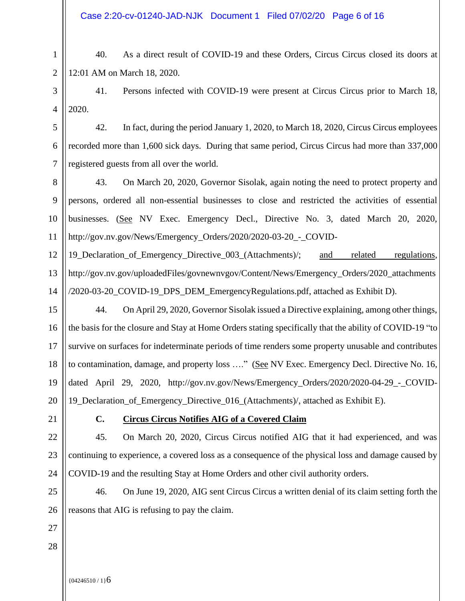Case 2:20-cv-01240-JAD-NJK Document 1 Filed 07/02/20 Page 6 of 16

40. As a direct result of COVID-19 and these Orders, Circus Circus closed its doors at 12:01 AM on March 18, 2020.

3 4 41. Persons infected with COVID-19 were present at Circus Circus prior to March 18, 2020.

42. In fact, during the period January 1, 2020, to March 18, 2020, Circus Circus employees recorded more than 1,600 sick days. During that same period, Circus Circus had more than 337,000 registered guests from all over the world.

8 9 10 11 43. On March 20, 2020, Governor Sisolak, again noting the need to protect property and persons, ordered all non-essential businesses to close and restricted the activities of essential businesses. (See NV Exec. Emergency Decl., Directive No. 3, dated March 20, 2020, http://gov.nv.gov/News/Emergency\_Orders/2020/2020-03-20\_-\_COVID-

12 13 14 19 Declaration of Emergency Directive 003 (Attachments): and related regulations, http://gov.nv.gov/uploadedFiles/govnewnvgov/Content/News/Emergency\_Orders/2020\_attachments /2020-03-20\_COVID-19\_DPS\_DEM\_EmergencyRegulations.pdf, attached as Exhibit D).

15 16 17 18 19 20 44. On April 29, 2020, Governor Sisolak issued a Directive explaining, among other things, the basis for the closure and Stay at Home Orders stating specifically that the ability of COVID-19 "to survive on surfaces for indeterminate periods of time renders some property unusable and contributes to contamination, damage, and property loss …." (See NV Exec. Emergency Decl. Directive No. 16, dated April 29, 2020, http://gov.nv.gov/News/Emergency Orders/2020/2020-04-29 - COVID-19\_Declaration\_of\_Emergency\_Directive\_016\_(Attachments)/, attached as Exhibit E).

21

22

23

24

1

2

5

6

7

## **C. Circus Circus Notifies AIG of a Covered Claim**

45. On March 20, 2020, Circus Circus notified AIG that it had experienced, and was continuing to experience, a covered loss as a consequence of the physical loss and damage caused by COVID-19 and the resulting Stay at Home Orders and other civil authority orders.

25 26 46. On June 19, 2020, AIG sent Circus Circus a written denial of its claim setting forth the reasons that AIG is refusing to pay the claim.

27 28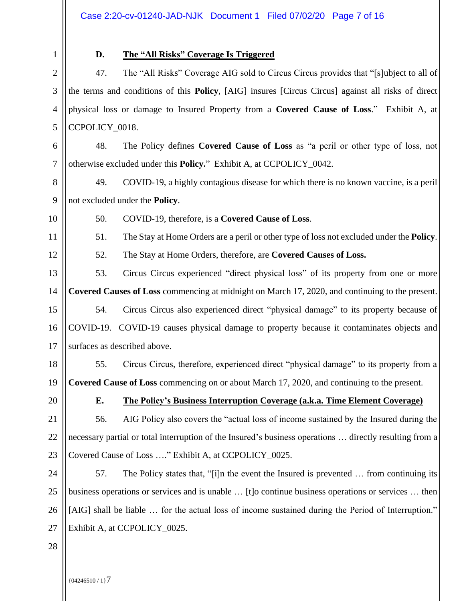2 3

4

5

6

7

1

## **D. The "All Risks" Coverage Is Triggered**

47. The "All Risks" Coverage AIG sold to Circus Circus provides that "[s]ubject to all of the terms and conditions of this **Policy**, [AIG] insures [Circus Circus] against all risks of direct physical loss or damage to Insured Property from a **Covered Cause of Loss**." Exhibit A, at CCPOLICY\_0018.

48. The Policy defines **Covered Cause of Loss** as "a peril or other type of loss, not otherwise excluded under this **Policy.**" Exhibit A, at CCPOLICY\_0042.

- 8 9 49. COVID-19, a highly contagious disease for which there is no known vaccine, is a peril not excluded under the **Policy**.
- 10

11

50. COVID-19, therefore, is a **Covered Cause of Loss**.

51. The Stay at Home Orders are a peril or other type of loss not excluded under the **Policy**.

12

52. The Stay at Home Orders, therefore, are **Covered Causes of Loss.**

13 14 15 53. Circus Circus experienced "direct physical loss" of its property from one or more **Covered Causes of Loss** commencing at midnight on March 17, 2020, and continuing to the present. 54. Circus Circus also experienced direct "physical damage" to its property because of

16 17 COVID-19. COVID-19 causes physical damage to property because it contaminates objects and surfaces as described above.

18 19 55. Circus Circus, therefore, experienced direct "physical damage" to its property from a **Covered Cause of Loss** commencing on or about March 17, 2020, and continuing to the present.

20

## **E. The Policy's Business Interruption Coverage (a.k.a. Time Element Coverage)**

21 22 23 56. AIG Policy also covers the "actual loss of income sustained by the Insured during the necessary partial or total interruption of the Insured's business operations … directly resulting from a Covered Cause of Loss …." Exhibit A, at CCPOLICY\_0025.

24 25 26 27 57. The Policy states that, "[i]n the event the Insured is prevented … from continuing its business operations or services and is unable … [t]o continue business operations or services … then [AIG] shall be liable … for the actual loss of income sustained during the Period of Interruption." Exhibit A, at CCPOLICY\_0025.

28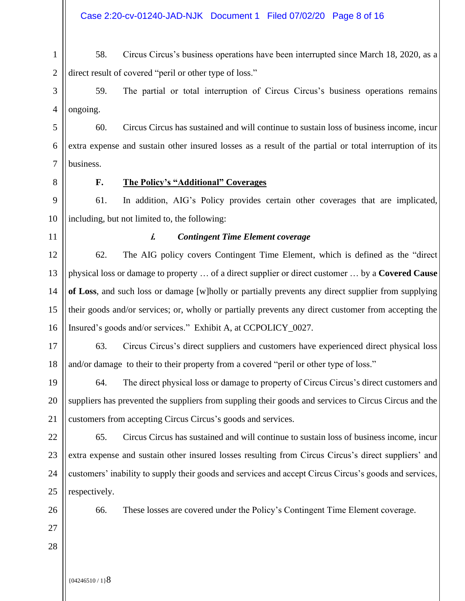1 2 58. Circus Circus's business operations have been interrupted since March 18, 2020, as a direct result of covered "peril or other type of loss."

3 4 59. The partial or total interruption of Circus Circus's business operations remains ongoing.

5 6 7 60. Circus Circus has sustained and will continue to sustain loss of business income, incur extra expense and sustain other insured losses as a result of the partial or total interruption of its business.

8

#### **F. The Policy's "Additional" Coverages**

9 10 61. In addition, AIG's Policy provides certain other coverages that are implicated, including, but not limited to, the following:

11

#### **i.** *Contingent Time Element coverage*

12 13 14 15 16 62. The AIG policy covers Contingent Time Element, which is defined as the "direct physical loss or damage to property … of a direct supplier or direct customer … by a **Covered Cause of Loss**, and such loss or damage [w]holly or partially prevents any direct supplier from supplying their goods and/or services; or, wholly or partially prevents any direct customer from accepting the Insured's goods and/or services." Exhibit A, at CCPOLICY\_0027.

17 18 63. Circus Circus's direct suppliers and customers have experienced direct physical loss and/or damage to their to their property from a covered "peril or other type of loss."

19 20 21 64. The direct physical loss or damage to property of Circus Circus's direct customers and suppliers has prevented the suppliers from suppling their goods and services to Circus Circus and the customers from accepting Circus Circus's goods and services.

22 23 24 25 65. Circus Circus has sustained and will continue to sustain loss of business income, incur extra expense and sustain other insured losses resulting from Circus Circus's direct suppliers' and customers' inability to supply their goods and services and accept Circus Circus's goods and services, respectively.

26 27

28

66. These losses are covered under the Policy's Contingent Time Element coverage.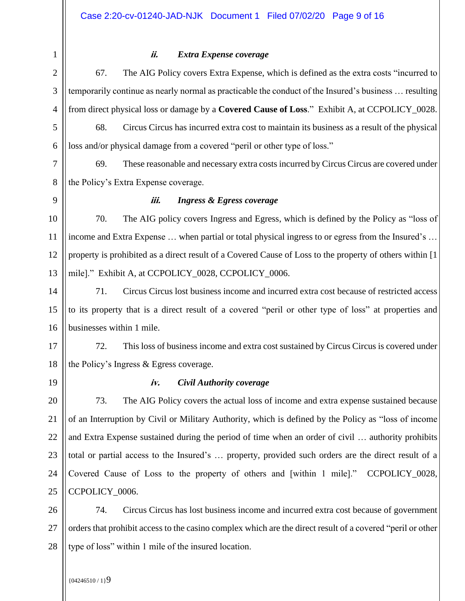2 3

1

#### **ii.** *Extra Expense coverage*

4 5 6 7 67. The AIG Policy covers Extra Expense, which is defined as the extra costs "incurred to temporarily continue as nearly normal as practicable the conduct of the Insured's business … resulting from direct physical loss or damage by a **Covered Cause of Loss**." Exhibit A, at CCPOLICY\_0028. 68. Circus Circus has incurred extra cost to maintain its business as a result of the physical loss and/or physical damage from a covered "peril or other type of loss." 69. These reasonable and necessary extra costs incurred by Circus Circus are covered under

8 the Policy's Extra Expense coverage.

9

#### **iii.** *Ingress & Egress coverage*

10 11 12 13 70. The AIG policy covers Ingress and Egress, which is defined by the Policy as "loss of income and Extra Expense … when partial or total physical ingress to or egress from the Insured's … property is prohibited as a direct result of a Covered Cause of Loss to the property of others within [1 mile]." Exhibit A, at CCPOLICY\_0028, CCPOLICY\_0006.

14 15 16 71. Circus Circus lost business income and incurred extra cost because of restricted access to its property that is a direct result of a covered "peril or other type of loss" at properties and businesses within 1 mile.

17 18 72. This loss of business income and extra cost sustained by Circus Circus is covered under the Policy's Ingress & Egress coverage.

19

#### **iv.** *Civil Authority coverage*

20 21 22 23 24 25 73. The AIG Policy covers the actual loss of income and extra expense sustained because of an Interruption by Civil or Military Authority, which is defined by the Policy as "loss of income and Extra Expense sustained during the period of time when an order of civil … authority prohibits total or partial access to the Insured's … property, provided such orders are the direct result of a Covered Cause of Loss to the property of others and [within 1 mile]." CCPOLICY\_0028, CCPOLICY\_0006.

26 27 28 74. Circus Circus has lost business income and incurred extra cost because of government orders that prohibit access to the casino complex which are the direct result of a covered "peril or other type of loss" within 1 mile of the insured location.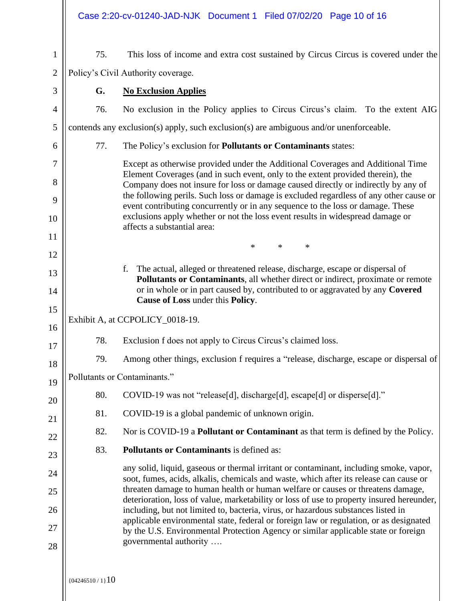|                |                    | Case 2:20-cv-01240-JAD-NJK Document 1 Filed 07/02/20 Page 10 of 16                                                                                                                                                                                       |
|----------------|--------------------|----------------------------------------------------------------------------------------------------------------------------------------------------------------------------------------------------------------------------------------------------------|
| $\mathbf{1}$   | 75.                | This loss of income and extra cost sustained by Circus Circus is covered under the                                                                                                                                                                       |
| $\mathbf{2}$   |                    | Policy's Civil Authority coverage.                                                                                                                                                                                                                       |
| 3              | G.                 | <b>No Exclusion Applies</b>                                                                                                                                                                                                                              |
| $\overline{4}$ | 76.                | No exclusion in the Policy applies to Circus Circus's claim. To the extent AIG                                                                                                                                                                           |
| 5              |                    | contends any exclusion(s) apply, such exclusion(s) are ambiguous and/or unenforceable.                                                                                                                                                                   |
| 6              | 77.                | The Policy's exclusion for Pollutants or Contaminants states:                                                                                                                                                                                            |
| 7<br>8         |                    | Except as otherwise provided under the Additional Coverages and Additional Time<br>Element Coverages (and in such event, only to the extent provided therein), the<br>Company does not insure for loss or damage caused directly or indirectly by any of |
| 9              |                    | the following perils. Such loss or damage is excluded regardless of any other cause or<br>event contributing concurrently or in any sequence to the loss or damage. These                                                                                |
| 10             |                    | exclusions apply whether or not the loss event results in widespread damage or<br>affects a substantial area:                                                                                                                                            |
| 11             |                    |                                                                                                                                                                                                                                                          |
| 12             |                    | $\ast$<br>$\ast$<br>∗                                                                                                                                                                                                                                    |
| 13             |                    | f. The actual, alleged or threatened release, discharge, escape or dispersal of<br>Pollutants or Contaminants, all whether direct or indirect, proximate or remote                                                                                       |
| 14             |                    | or in whole or in part caused by, contributed to or aggravated by any Covered<br>Cause of Loss under this Policy.                                                                                                                                        |
| 15             |                    | Exhibit A, at CCPOLICY_0018-19.                                                                                                                                                                                                                          |
| 16             |                    |                                                                                                                                                                                                                                                          |
| 17             | 78.                | Exclusion f does not apply to Circus Circus's claimed loss.                                                                                                                                                                                              |
| 18             | 79.                | Among other things, exclusion f requires a "release, discharge, escape or dispersal of                                                                                                                                                                   |
| 19             |                    | Pollutants or Contaminants."                                                                                                                                                                                                                             |
| 20             | 80.                | COVID-19 was not "release[d], discharge[d], escape[d] or disperse[d]."                                                                                                                                                                                   |
| 21             | 81.                | COVID-19 is a global pandemic of unknown origin.                                                                                                                                                                                                         |
| 22             | 82.                | Nor is COVID-19 a <b>Pollutant or Contaminant</b> as that term is defined by the Policy.                                                                                                                                                                 |
| 23             | 83.                | <b>Pollutants or Contaminants is defined as:</b>                                                                                                                                                                                                         |
| 24             |                    | any solid, liquid, gaseous or thermal irritant or contaminant, including smoke, vapor,<br>soot, fumes, acids, alkalis, chemicals and waste, which after its release can cause or                                                                         |
| 25             |                    | threaten damage to human health or human welfare or causes or threatens damage,<br>deterioration, loss of value, marketability or loss of use to property insured hereunder,                                                                             |
| 26             |                    | including, but not limited to, bacteria, virus, or hazardous substances listed in<br>applicable environmental state, federal or foreign law or regulation, or as designated                                                                              |
| 27             |                    | by the U.S. Environmental Protection Agency or similar applicable state or foreign<br>governmental authority                                                                                                                                             |
| 28             |                    |                                                                                                                                                                                                                                                          |
|                | ${04246510 / 1}10$ |                                                                                                                                                                                                                                                          |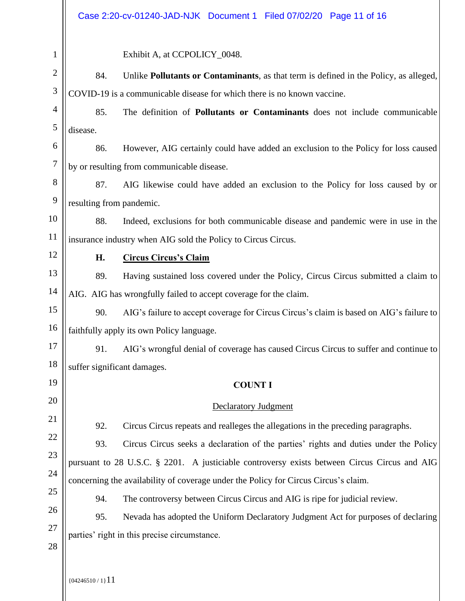|                  | Case 2:20-cv-01240-JAD-NJK Document 1 Filed 07/02/20 Page 11 of 16                             |  |
|------------------|------------------------------------------------------------------------------------------------|--|
| $\mathbf{1}$     | Exhibit A, at CCPOLICY_0048.                                                                   |  |
| $\mathbf{2}$     | Unlike Pollutants or Contaminants, as that term is defined in the Policy, as alleged,<br>84.   |  |
| $\mathfrak{Z}$   | COVID-19 is a communicable disease for which there is no known vaccine.                        |  |
| $\overline{4}$   | 85.<br>The definition of <b>Pollutants or Contaminants</b> does not include communicable       |  |
| 5                | disease.                                                                                       |  |
| 6                | 86.<br>However, AIG certainly could have added an exclusion to the Policy for loss caused      |  |
| $\boldsymbol{7}$ | by or resulting from communicable disease.                                                     |  |
| 8                | 87.<br>AIG likewise could have added an exclusion to the Policy for loss caused by or          |  |
| 9                | resulting from pandemic.                                                                       |  |
| 10               | Indeed, exclusions for both communicable disease and pandemic were in use in the<br>88.        |  |
| 11               | insurance industry when AIG sold the Policy to Circus Circus.                                  |  |
| 12               | <b>Circus Circus's Claim</b><br>Н.                                                             |  |
| 13               | Having sustained loss covered under the Policy, Circus Circus submitted a claim to<br>89.      |  |
| 14               | AIG. AIG has wrongfully failed to accept coverage for the claim.                               |  |
| 15               | AIG's failure to accept coverage for Circus Circus's claim is based on AIG's failure to<br>90. |  |
| 16               | faithfully apply its own Policy language.                                                      |  |
| 17               | AIG's wrongful denial of coverage has caused Circus Circus to suffer and continue to<br>91.    |  |
| 18               | suffer significant damages.                                                                    |  |
| 19               | <b>COUNT I</b>                                                                                 |  |
| 20               | <b>Declaratory Judgment</b>                                                                    |  |
| 21               | 92.<br>Circus Circus repeats and realleges the allegations in the preceding paragraphs.        |  |
| 22               | 93.<br>Circus Circus seeks a declaration of the parties' rights and duties under the Policy    |  |
| 23               | pursuant to 28 U.S.C. § 2201. A justiciable controversy exists between Circus Circus and AIG   |  |
| 24<br>25         | concerning the availability of coverage under the Policy for Circus Circus's claim.            |  |
| 26               | 94.<br>The controversy between Circus Circus and AIG is ripe for judicial review.              |  |
| 27               | 95.<br>Nevada has adopted the Uniform Declaratory Judgment Act for purposes of declaring       |  |
| 28               | parties' right in this precise circumstance.                                                   |  |
|                  |                                                                                                |  |

 $\left| \right|$  {04246510 / 1} 11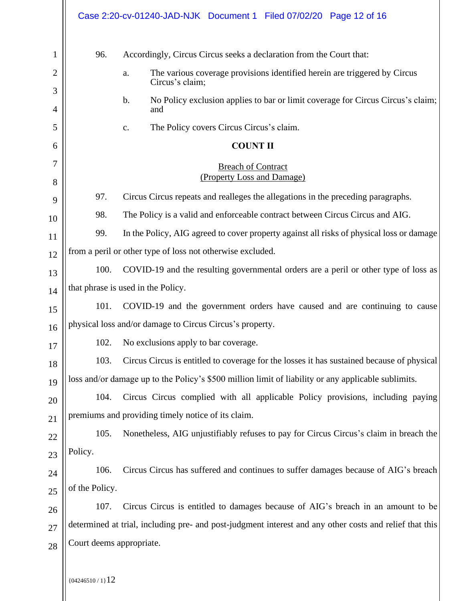|    |                          | Case 2:20-cv-01240-JAD-NJK Document 1 Filed 07/02/20 Page 12 of 16                                      |
|----|--------------------------|---------------------------------------------------------------------------------------------------------|
| 1  | 96.                      | Accordingly, Circus Circus seeks a declaration from the Court that:                                     |
| 2  |                          | The various coverage provisions identified herein are triggered by Circus<br>a.                         |
| 3  |                          | Circus's claim;                                                                                         |
| 4  |                          | No Policy exclusion applies to bar or limit coverage for Circus Circus's claim;<br>$\mathbf b$ .<br>and |
| 5  |                          | The Policy covers Circus Circus's claim.<br>c.                                                          |
| 6  |                          | <b>COUNT II</b>                                                                                         |
| 7  |                          | <b>Breach of Contract</b>                                                                               |
| 8  |                          | (Property Loss and Damage)                                                                              |
| 9  | 97.                      | Circus Circus repeats and realleges the allegations in the preceding paragraphs.                        |
| 10 | 98.                      | The Policy is a valid and enforceable contract between Circus Circus and AIG.                           |
| 11 | 99.                      | In the Policy, AIG agreed to cover property against all risks of physical loss or damage                |
| 12 |                          | from a peril or other type of loss not otherwise excluded.                                              |
| 13 | 100.                     | COVID-19 and the resulting governmental orders are a peril or other type of loss as                     |
| 14 |                          | that phrase is used in the Policy.                                                                      |
| 15 | 101.                     | COVID-19 and the government orders have caused and are continuing to cause                              |
| 16 |                          | physical loss and/or damage to Circus Circus's property.                                                |
| 17 |                          | 102. No exclusions apply to bar coverage.                                                               |
| 18 | 103.                     | Circus Circus is entitled to coverage for the losses it has sustained because of physical               |
| 19 |                          | loss and/or damage up to the Policy's \$500 million limit of liability or any applicable sublimits.     |
| 20 | 104.                     | Circus Circus complied with all applicable Policy provisions, including paying                          |
| 21 |                          | premiums and providing timely notice of its claim.                                                      |
| 22 | 105.                     | Nonetheless, AIG unjustifiably refuses to pay for Circus Circus's claim in breach the                   |
| 23 | Policy.                  |                                                                                                         |
| 24 | 106.                     | Circus Circus has suffered and continues to suffer damages because of AIG's breach                      |
| 25 | of the Policy.           |                                                                                                         |
| 26 | 107.                     | Circus Circus is entitled to damages because of AIG's breach in an amount to be                         |
| 27 |                          | determined at trial, including pre- and post-judgment interest and any other costs and relief that this |
| 28 | Court deems appropriate. |                                                                                                         |
|    |                          |                                                                                                         |

 $\left\| \frac{1}{(04246510/1)}12\right\|$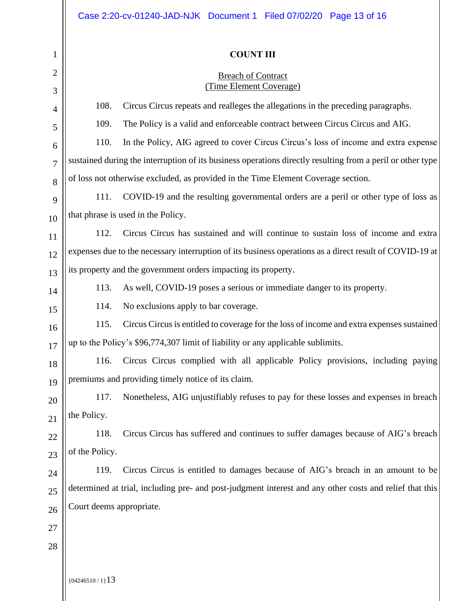# **COUNT III**

#### **Breach of Contract** (Time Element Coverage)

| $\overline{2}$ |                          | <b>Breach of Contract</b><br>(Time Element Coverage)                                                       |  |
|----------------|--------------------------|------------------------------------------------------------------------------------------------------------|--|
| 3              | 108.                     | Circus Circus repeats and realleges the allegations in the preceding paragraphs.                           |  |
| $\overline{4}$ | 109.                     | The Policy is a valid and enforceable contract between Circus Circus and AIG.                              |  |
| 5              | 110.                     | In the Policy, AIG agreed to cover Circus Circus's loss of income and extra expense                        |  |
| 6              |                          | sustained during the interruption of its business operations directly resulting from a peril or other type |  |
| 7              |                          | of loss not otherwise excluded, as provided in the Time Element Coverage section.                          |  |
| 8              | 111.                     | COVID-19 and the resulting governmental orders are a peril or other type of loss as                        |  |
| 9              |                          | that phrase is used in the Policy.                                                                         |  |
| 10             | 112.                     | Circus Circus has sustained and will continue to sustain loss of income and extra                          |  |
| 11             |                          |                                                                                                            |  |
| 12             |                          | expenses due to the necessary interruption of its business operations as a direct result of COVID-19 at    |  |
| 13             |                          | its property and the government orders impacting its property.                                             |  |
| 14             | 113.                     | As well, COVID-19 poses a serious or immediate danger to its property.                                     |  |
| 15             | 114.                     | No exclusions apply to bar coverage.                                                                       |  |
| 16             | 115.                     | Circus Circus is entitled to coverage for the loss of income and extra expenses sustained                  |  |
| 17             |                          | up to the Policy's \$96,774,307 limit of liability or any applicable sublimits.                            |  |
| 18             | 116.                     | Circus Circus complied with all applicable Policy provisions, including paying                             |  |
| 19             |                          | premiums and providing timely notice of its claim.                                                         |  |
| 20             | 117.                     | Nonetheless, AIG unjustifiably refuses to pay for these losses and expenses in breach                      |  |
| 21             | the Policy.              |                                                                                                            |  |
| 22             | 118.                     | Circus Circus has suffered and continues to suffer damages because of AIG's breach                         |  |
| 23             | of the Policy.           |                                                                                                            |  |
| 24             | 119.                     | Circus Circus is entitled to damages because of AIG's breach in an amount to be                            |  |
| 25             |                          | determined at trial, including pre- and post-judgment interest and any other costs and relief that this    |  |
| 26             | Court deems appropriate. |                                                                                                            |  |
| 27             |                          |                                                                                                            |  |
| 28             |                          |                                                                                                            |  |
|                |                          |                                                                                                            |  |

 ${04246510 / 1}13$ 

1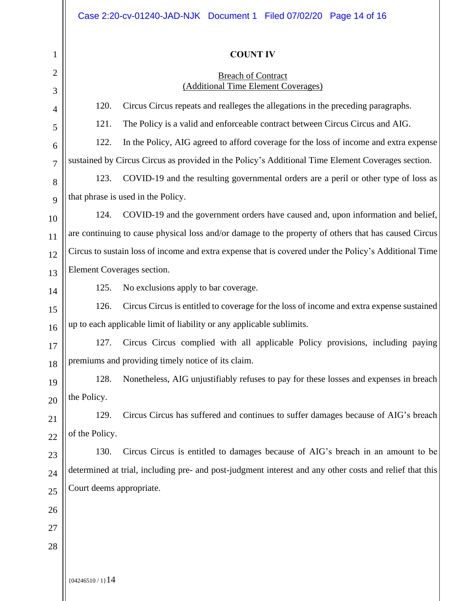### **COUNT IV**

#### **Breach of Contract** (Additional Time Element Coverages)

| 3              |                          | (Auditional Time Element Coverages)                                                                     |  |
|----------------|--------------------------|---------------------------------------------------------------------------------------------------------|--|
| $\overline{4}$ | 120.                     | Circus Circus repeats and realleges the allegations in the preceding paragraphs.                        |  |
| 5              | 121.                     | The Policy is a valid and enforceable contract between Circus Circus and AIG.                           |  |
| 6              | 122.                     | In the Policy, AIG agreed to afford coverage for the loss of income and extra expense                   |  |
| $\overline{7}$ |                          | sustained by Circus Circus as provided in the Policy's Additional Time Element Coverages section.       |  |
| 8              | 123.                     | COVID-19 and the resulting governmental orders are a peril or other type of loss as                     |  |
| 9              |                          | that phrase is used in the Policy.                                                                      |  |
| 10             | 124.                     | COVID-19 and the government orders have caused and, upon information and belief,                        |  |
| 11             |                          | are continuing to cause physical loss and/or damage to the property of others that has caused Circus    |  |
| 12             |                          | Circus to sustain loss of income and extra expense that is covered under the Policy's Additional Time   |  |
| 13             |                          | Element Coverages section.                                                                              |  |
| 14             | 125.                     | No exclusions apply to bar coverage.                                                                    |  |
| 15             | 126.                     | Circus Circus is entitled to coverage for the loss of income and extra expense sustained                |  |
| 16             |                          | up to each applicable limit of liability or any applicable sublimits.                                   |  |
| 17             | 127.                     | Circus Circus complied with all applicable Policy provisions, including paying                          |  |
| 18             |                          | premiums and providing timely notice of its claim.                                                      |  |
| 19             | 128.                     | Nonetheless, AIG unjustifiably refuses to pay for these losses and expenses in breach                   |  |
| 20             | the Policy.              |                                                                                                         |  |
| 21             | 129.                     | Circus Circus has suffered and continues to suffer damages because of AIG's breach                      |  |
| 22             | of the Policy.           |                                                                                                         |  |
| 23             | 130.                     | Circus Circus is entitled to damages because of AIG's breach in an amount to be                         |  |
| 24             |                          | determined at trial, including pre- and post-judgment interest and any other costs and relief that this |  |
| 25             | Court deems appropriate. |                                                                                                         |  |
| 26             |                          |                                                                                                         |  |
| 27             |                          |                                                                                                         |  |
| 28             |                          |                                                                                                         |  |
|                |                          |                                                                                                         |  |

{04246510 / 1}14

1

2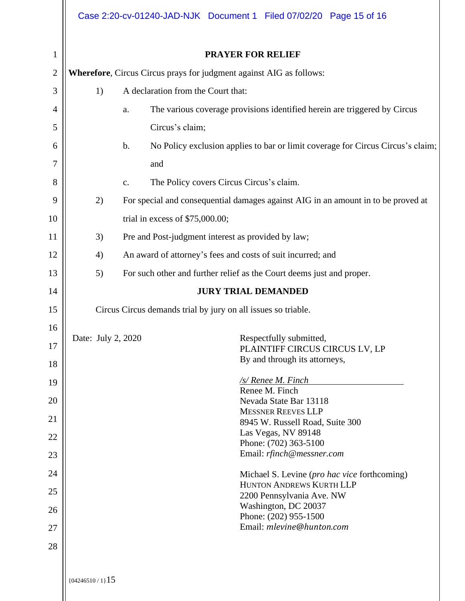|              |                                                               | Case 2:20-cv-01240-JAD-NJK Document 1 Filed 07/02/20 Page 15 of 16                               |  |  |  |  |  |
|--------------|---------------------------------------------------------------|--------------------------------------------------------------------------------------------------|--|--|--|--|--|
| $\mathbf{1}$ |                                                               | <b>PRAYER FOR RELIEF</b>                                                                         |  |  |  |  |  |
| $\mathbf{2}$ |                                                               | <b>Wherefore, Circus Circus prays for judgment against AIG as follows:</b>                       |  |  |  |  |  |
| 3            | 1)                                                            | A declaration from the Court that:                                                               |  |  |  |  |  |
| 4            |                                                               | The various coverage provisions identified herein are triggered by Circus<br>a.                  |  |  |  |  |  |
| 5            |                                                               | Circus's claim;                                                                                  |  |  |  |  |  |
| 6            |                                                               | No Policy exclusion applies to bar or limit coverage for Circus Circus's claim;<br>$\mathbf b$ . |  |  |  |  |  |
| 7            |                                                               | and                                                                                              |  |  |  |  |  |
| 8            |                                                               | The Policy covers Circus Circus's claim.<br>$\mathbf{C}.$                                        |  |  |  |  |  |
| 9            | 2)                                                            | For special and consequential damages against AIG in an amount in to be proved at                |  |  |  |  |  |
| 10           |                                                               | trial in excess of $$75,000.00;$                                                                 |  |  |  |  |  |
| 11           | 3)                                                            | Pre and Post-judgment interest as provided by law;                                               |  |  |  |  |  |
| 12           | 4)                                                            | An award of attorney's fees and costs of suit incurred; and                                      |  |  |  |  |  |
| 13           | 5)                                                            | For such other and further relief as the Court deems just and proper.                            |  |  |  |  |  |
| 14           |                                                               | <b>JURY TRIAL DEMANDED</b>                                                                       |  |  |  |  |  |
| 15           | Circus Circus demands trial by jury on all issues so triable. |                                                                                                  |  |  |  |  |  |
| 16           |                                                               |                                                                                                  |  |  |  |  |  |
| 17           | Date: July 2, 2020                                            | Respectfully submitted,<br>PLAINTIFF CIRCUS CIRCUS LV, LP                                        |  |  |  |  |  |
| 18           |                                                               | By and through its attorneys,                                                                    |  |  |  |  |  |
| 19           |                                                               | /s/ Renee M. Finch<br>Renee M. Finch                                                             |  |  |  |  |  |
| 20           |                                                               | Nevada State Bar 13118                                                                           |  |  |  |  |  |
| 21           |                                                               | <b>MESSNER REEVES LLP</b><br>8945 W. Russell Road, Suite 300                                     |  |  |  |  |  |
| 22           |                                                               | Las Vegas, NV 89148<br>Phone: (702) 363-5100                                                     |  |  |  |  |  |
| 23           |                                                               | Email: rfinch@messner.com                                                                        |  |  |  |  |  |
| 24           |                                                               | Michael S. Levine ( <i>pro hac vice</i> forthcoming)                                             |  |  |  |  |  |
| 25           |                                                               | HUNTON ANDREWS KURTH LLP<br>2200 Pennsylvania Ave. NW                                            |  |  |  |  |  |
| 26           |                                                               | Washington, DC 20037<br>Phone: (202) 955-1500                                                    |  |  |  |  |  |
| 27           |                                                               | Email: mlevine@hunton.com                                                                        |  |  |  |  |  |
| 28           |                                                               |                                                                                                  |  |  |  |  |  |
|              |                                                               |                                                                                                  |  |  |  |  |  |
|              | ${04246510 / 1}$ 15                                           |                                                                                                  |  |  |  |  |  |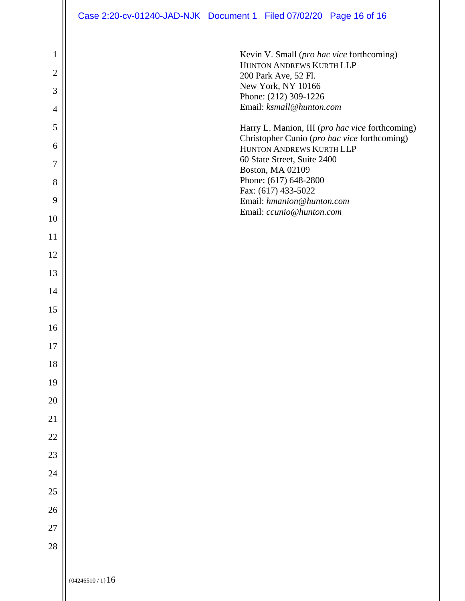|                                                                                      | Case 2:20-cv-01240-JAD-NJK Document 1 Filed 07/02/20 Page 16 of 16                                                                                                                                                                                                                                                                                                                                                                                                  |
|--------------------------------------------------------------------------------------|---------------------------------------------------------------------------------------------------------------------------------------------------------------------------------------------------------------------------------------------------------------------------------------------------------------------------------------------------------------------------------------------------------------------------------------------------------------------|
| $\mathbf{1}$<br>$\overline{2}$<br>3<br>$\overline{4}$<br>5<br>6<br>7<br>8<br>9<br>10 | Kevin V. Small (pro hac vice forthcoming)<br>HUNTON ANDREWS KURTH LLP<br>200 Park Ave, 52 Fl.<br>New York, NY 10166<br>Phone: (212) 309-1226<br>Email: ksmall@hunton.com<br>Harry L. Manion, III (pro hac vice forthcoming)<br>Christopher Cunio (pro hac vice forthcoming)<br>HUNTON ANDREWS KURTH LLP<br>60 State Street, Suite 2400<br>Boston, MA 02109<br>Phone: (617) 648-2800<br>Fax: (617) 433-5022<br>Email: hmanion@hunton.com<br>Email: ccunio@hunton.com |
| 11                                                                                   |                                                                                                                                                                                                                                                                                                                                                                                                                                                                     |
| 12                                                                                   |                                                                                                                                                                                                                                                                                                                                                                                                                                                                     |
| 13                                                                                   |                                                                                                                                                                                                                                                                                                                                                                                                                                                                     |
| 14                                                                                   |                                                                                                                                                                                                                                                                                                                                                                                                                                                                     |
| 15                                                                                   |                                                                                                                                                                                                                                                                                                                                                                                                                                                                     |
| 16                                                                                   |                                                                                                                                                                                                                                                                                                                                                                                                                                                                     |
| $17\,$                                                                               |                                                                                                                                                                                                                                                                                                                                                                                                                                                                     |
| 18                                                                                   |                                                                                                                                                                                                                                                                                                                                                                                                                                                                     |
| 19                                                                                   |                                                                                                                                                                                                                                                                                                                                                                                                                                                                     |
| $20\,$                                                                               |                                                                                                                                                                                                                                                                                                                                                                                                                                                                     |
| 21                                                                                   |                                                                                                                                                                                                                                                                                                                                                                                                                                                                     |
| $22\,$                                                                               |                                                                                                                                                                                                                                                                                                                                                                                                                                                                     |
| $23\,$<br>24                                                                         |                                                                                                                                                                                                                                                                                                                                                                                                                                                                     |
| 25                                                                                   |                                                                                                                                                                                                                                                                                                                                                                                                                                                                     |
| $26\,$                                                                               |                                                                                                                                                                                                                                                                                                                                                                                                                                                                     |
| $27\,$                                                                               |                                                                                                                                                                                                                                                                                                                                                                                                                                                                     |
| $28\,$                                                                               |                                                                                                                                                                                                                                                                                                                                                                                                                                                                     |
|                                                                                      |                                                                                                                                                                                                                                                                                                                                                                                                                                                                     |
|                                                                                      | ${04246510 / 1}$ 16                                                                                                                                                                                                                                                                                                                                                                                                                                                 |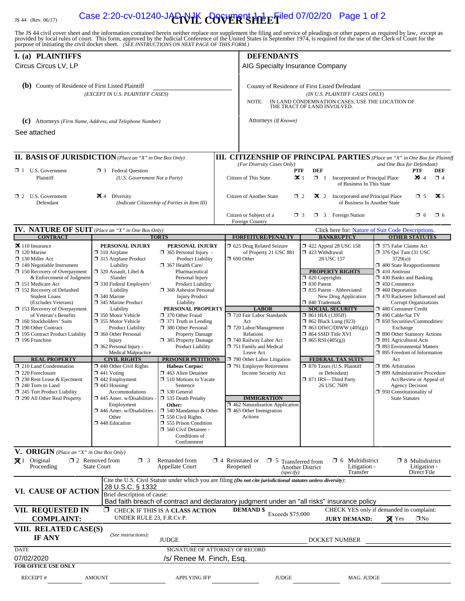# IS 44 (Rev. 06/17) **Case 2:20-cv-01240-JAD-VIK COVER SHEET**iled 07/02/20 Page 1 of 2

The JS 44 civil cover sheet and the information contained herein neither replace nor supplement the filing and service of pleadings or other papers as required by law, except as provided by local rules of court. This form,

| I. (a) PLAINTIFFS                                                  |                                                     |                                                    |  | <b>DEFENDANTS</b>                                                                                                                                                                                                                                                                                                                                                                                                                                                                                                                                                                                                                                                                                                                                                                                                                                                                                                                                                                                                                                                                                                                                                                                                                                                                                                                                                                                                                                                                                                                                                                                                                                                                      |                                                 |                                                                 |                                                          |                             |  |  |
|--------------------------------------------------------------------|-----------------------------------------------------|----------------------------------------------------|--|----------------------------------------------------------------------------------------------------------------------------------------------------------------------------------------------------------------------------------------------------------------------------------------------------------------------------------------------------------------------------------------------------------------------------------------------------------------------------------------------------------------------------------------------------------------------------------------------------------------------------------------------------------------------------------------------------------------------------------------------------------------------------------------------------------------------------------------------------------------------------------------------------------------------------------------------------------------------------------------------------------------------------------------------------------------------------------------------------------------------------------------------------------------------------------------------------------------------------------------------------------------------------------------------------------------------------------------------------------------------------------------------------------------------------------------------------------------------------------------------------------------------------------------------------------------------------------------------------------------------------------------------------------------------------------------|-------------------------------------------------|-----------------------------------------------------------------|----------------------------------------------------------|-----------------------------|--|--|
| Circus Circus LV, LP                                               |                                                     |                                                    |  |                                                                                                                                                                                                                                                                                                                                                                                                                                                                                                                                                                                                                                                                                                                                                                                                                                                                                                                                                                                                                                                                                                                                                                                                                                                                                                                                                                                                                                                                                                                                                                                                                                                                                        |                                                 |                                                                 |                                                          |                             |  |  |
| (b) County of Residence of First Listed Plaintiff                  |                                                     |                                                    |  |                                                                                                                                                                                                                                                                                                                                                                                                                                                                                                                                                                                                                                                                                                                                                                                                                                                                                                                                                                                                                                                                                                                                                                                                                                                                                                                                                                                                                                                                                                                                                                                                                                                                                        |                                                 |                                                                 |                                                          |                             |  |  |
|                                                                    | (EXCEPT IN U.S. PLAINTIFF CASES)                    |                                                    |  |                                                                                                                                                                                                                                                                                                                                                                                                                                                                                                                                                                                                                                                                                                                                                                                                                                                                                                                                                                                                                                                                                                                                                                                                                                                                                                                                                                                                                                                                                                                                                                                                                                                                                        |                                                 |                                                                 |                                                          |                             |  |  |
|                                                                    |                                                     |                                                    |  | AIG Specialty Insurance Company<br>County of Residence of First Listed Defendant<br>(IN U.S. PLAINTIFF CASES ONLY)<br>IN LAND CONDEMNATION CASES, USE THE LOCATION OF<br>NOTE:<br>THE TRACT OF LAND INVOLVED.<br>Attorneys (If Known)<br><b>III. CITIZENSHIP OF PRINCIPAL PARTIES</b> (Place an "X" in One Box for Plaintiff<br>(For Diversity Cases Only)<br>and One Box for Defendant)<br><b>DEF</b><br><b>PTF</b><br><b>PTF</b><br><b>DEF</b><br>$\mathbf{\times}$ 1<br>$\boxtimes$ 4<br>$\Box$ 1<br>Incorporated or Principal Place<br>$\Box$ 4<br>of Business In This State<br>$\mathbf{\times}$ 2 Incorporated <i>and</i> Principal Place<br>$\mathbf{X}$ 5<br>$\Box$ 2<br>$\Box$ 5<br>of Business In Another State<br>$\Box$ 3 Foreign Nation<br>$\Box$ 6<br>$\Box$ 6<br>$\Box$ 3<br>Click here for: Nature of Suit Code Descriptions.<br><b>OTHER STATUTES</b><br><b>FORFEITURE/PENALTY</b><br><b>BANKRUPTCY</b><br>5 625 Drug Related Seizure<br>158 122 Appeal 28 USC 158<br>□ 375 False Claims Act<br>1 423 Withdrawal<br>of Property 21 USC 881<br>$\Box$ 376 Qui Tam (31 USC<br>28 USC 157<br>3729(a)<br>$\Box$ 400 State Reapportionment<br><b>PROPERTY RIGHTS</b><br>$\Box$ 410 Antitrust<br>$\Box$ 820 Copyrights<br>$\Box$ 430 Banks and Banking<br>30 Patent<br>$\Box$ 450 Commerce<br>335 Patent - Abbreviated<br>$\Box$ 460 Deportation<br>1 470 Racketeer Influenced and<br>New Drug Application<br>□ 840 Trademark<br><b>Corrupt Organizations</b><br><b>LABOR</b><br><b>SOCIAL SECURITY</b><br>480 Consumer Credit<br>710 Fair Labor Standards<br>$\Box$ 861 HIA (1395ff)<br>□ 490 Cable/Sat TV<br>$\Box$ 862 Black Lung (923)<br>□ 850 Securities/Commodities/ |                                                 |                                                                 |                                                          |                             |  |  |
| (C) Attorneys (Firm Name, Address, and Telephone Number)           |                                                     |                                                    |  |                                                                                                                                                                                                                                                                                                                                                                                                                                                                                                                                                                                                                                                                                                                                                                                                                                                                                                                                                                                                                                                                                                                                                                                                                                                                                                                                                                                                                                                                                                                                                                                                                                                                                        |                                                 |                                                                 |                                                          |                             |  |  |
| See attached                                                       |                                                     |                                                    |  |                                                                                                                                                                                                                                                                                                                                                                                                                                                                                                                                                                                                                                                                                                                                                                                                                                                                                                                                                                                                                                                                                                                                                                                                                                                                                                                                                                                                                                                                                                                                                                                                                                                                                        |                                                 |                                                                 |                                                          |                             |  |  |
|                                                                    |                                                     |                                                    |  |                                                                                                                                                                                                                                                                                                                                                                                                                                                                                                                                                                                                                                                                                                                                                                                                                                                                                                                                                                                                                                                                                                                                                                                                                                                                                                                                                                                                                                                                                                                                                                                                                                                                                        |                                                 |                                                                 |                                                          |                             |  |  |
| <b>II. BASIS OF JURISDICTION</b> (Place an "X" in One Box Only)    |                                                     |                                                    |  |                                                                                                                                                                                                                                                                                                                                                                                                                                                                                                                                                                                                                                                                                                                                                                                                                                                                                                                                                                                                                                                                                                                                                                                                                                                                                                                                                                                                                                                                                                                                                                                                                                                                                        |                                                 |                                                                 |                                                          |                             |  |  |
| $\Box$ 1 U.S. Government                                           | $\Box$ 3 Federal Question                           |                                                    |  |                                                                                                                                                                                                                                                                                                                                                                                                                                                                                                                                                                                                                                                                                                                                                                                                                                                                                                                                                                                                                                                                                                                                                                                                                                                                                                                                                                                                                                                                                                                                                                                                                                                                                        |                                                 |                                                                 |                                                          |                             |  |  |
| Plaintiff                                                          | (U.S. Government Not a Party)                       |                                                    |  | Citizen of This State                                                                                                                                                                                                                                                                                                                                                                                                                                                                                                                                                                                                                                                                                                                                                                                                                                                                                                                                                                                                                                                                                                                                                                                                                                                                                                                                                                                                                                                                                                                                                                                                                                                                  |                                                 |                                                                 |                                                          |                             |  |  |
| $\Box$ 2 U.S. Government<br>Defendant                              | $\blacktriangleright$ 4 Diversity                   | (Indicate Citizenship of Parties in Item III)      |  | Citizen of Another State                                                                                                                                                                                                                                                                                                                                                                                                                                                                                                                                                                                                                                                                                                                                                                                                                                                                                                                                                                                                                                                                                                                                                                                                                                                                                                                                                                                                                                                                                                                                                                                                                                                               |                                                 |                                                                 |                                                          |                             |  |  |
|                                                                    |                                                     |                                                    |  | Citizen or Subject of a<br>Foreign Country                                                                                                                                                                                                                                                                                                                                                                                                                                                                                                                                                                                                                                                                                                                                                                                                                                                                                                                                                                                                                                                                                                                                                                                                                                                                                                                                                                                                                                                                                                                                                                                                                                             |                                                 |                                                                 |                                                          |                             |  |  |
| <b>IV. NATURE OF SUIT</b> (Place an "X" in One Box Only)           |                                                     |                                                    |  |                                                                                                                                                                                                                                                                                                                                                                                                                                                                                                                                                                                                                                                                                                                                                                                                                                                                                                                                                                                                                                                                                                                                                                                                                                                                                                                                                                                                                                                                                                                                                                                                                                                                                        |                                                 |                                                                 |                                                          |                             |  |  |
| <b>CONTRACT</b><br>$\mathbf{\times}$ 110 Insurance                 | PERSONAL INJURY                                     | <b>TORTS</b><br>PERSONAL INJURY                    |  |                                                                                                                                                                                                                                                                                                                                                                                                                                                                                                                                                                                                                                                                                                                                                                                                                                                                                                                                                                                                                                                                                                                                                                                                                                                                                                                                                                                                                                                                                                                                                                                                                                                                                        |                                                 |                                                                 |                                                          |                             |  |  |
| $\Box$ 120 Marine                                                  | $\Box$ 310 Airplane                                 | $\Box$ 365 Personal Injury -                       |  |                                                                                                                                                                                                                                                                                                                                                                                                                                                                                                                                                                                                                                                                                                                                                                                                                                                                                                                                                                                                                                                                                                                                                                                                                                                                                                                                                                                                                                                                                                                                                                                                                                                                                        |                                                 |                                                                 |                                                          |                             |  |  |
| □ 130 Miller Act<br>$\Box$ 140 Negotiable Instrument               | □ 315 Airplane Product<br>Liability                 | <b>Product Liability</b><br>367 Health Care/       |  | $\Box$ 690 Other                                                                                                                                                                                                                                                                                                                                                                                                                                                                                                                                                                                                                                                                                                                                                                                                                                                                                                                                                                                                                                                                                                                                                                                                                                                                                                                                                                                                                                                                                                                                                                                                                                                                       |                                                 |                                                                 |                                                          |                             |  |  |
| $\Box$ 150 Recovery of Overpayment                                 | $\Box$ 320 Assault, Libel &                         | Pharmaceutical                                     |  |                                                                                                                                                                                                                                                                                                                                                                                                                                                                                                                                                                                                                                                                                                                                                                                                                                                                                                                                                                                                                                                                                                                                                                                                                                                                                                                                                                                                                                                                                                                                                                                                                                                                                        |                                                 |                                                                 |                                                          |                             |  |  |
| & Enforcement of Judgment<br>□ 151 Medicare Act                    | Slander<br>□ 330 Federal Employers'                 | Personal Injury<br><b>Product Liability</b>        |  |                                                                                                                                                                                                                                                                                                                                                                                                                                                                                                                                                                                                                                                                                                                                                                                                                                                                                                                                                                                                                                                                                                                                                                                                                                                                                                                                                                                                                                                                                                                                                                                                                                                                                        |                                                 |                                                                 |                                                          |                             |  |  |
| $\Box$ 152 Recovery of Defaulted                                   | Liability                                           | 368 Asbestos Personal                              |  |                                                                                                                                                                                                                                                                                                                                                                                                                                                                                                                                                                                                                                                                                                                                                                                                                                                                                                                                                                                                                                                                                                                                                                                                                                                                                                                                                                                                                                                                                                                                                                                                                                                                                        |                                                 |                                                                 |                                                          |                             |  |  |
| <b>Student Loans</b><br>(Excludes Veterans)                        | $\Box$ 340 Marine<br>□ 345 Marine Product           | <b>Injury Product</b><br>Liability                 |  |                                                                                                                                                                                                                                                                                                                                                                                                                                                                                                                                                                                                                                                                                                                                                                                                                                                                                                                                                                                                                                                                                                                                                                                                                                                                                                                                                                                                                                                                                                                                                                                                                                                                                        |                                                 |                                                                 |                                                          |                             |  |  |
| 153 Recovery of Overpayment                                        | Liability                                           | PERSONAL PROPERTY                                  |  |                                                                                                                                                                                                                                                                                                                                                                                                                                                                                                                                                                                                                                                                                                                                                                                                                                                                                                                                                                                                                                                                                                                                                                                                                                                                                                                                                                                                                                                                                                                                                                                                                                                                                        |                                                 |                                                                 |                                                          |                             |  |  |
| of Veteran's Benefits<br>$\Box$ 160 Stockholders' Suits            | □ 350 Motor Vehicle<br>□ 355 Motor Vehicle          | □ 370 Other Fraud<br>$\Box$ 371 Truth in Lending   |  | Act                                                                                                                                                                                                                                                                                                                                                                                                                                                                                                                                                                                                                                                                                                                                                                                                                                                                                                                                                                                                                                                                                                                                                                                                                                                                                                                                                                                                                                                                                                                                                                                                                                                                                    |                                                 |                                                                 |                                                          |                             |  |  |
| 190 Other Contract                                                 | <b>Product Liability</b>                            | 380 Other Personal                                 |  | 720 Labor/Management                                                                                                                                                                                                                                                                                                                                                                                                                                                                                                                                                                                                                                                                                                                                                                                                                                                                                                                                                                                                                                                                                                                                                                                                                                                                                                                                                                                                                                                                                                                                                                                                                                                                   |                                                 | $\Box$ 863 DIWC/DIWW (405(g))                                   | Exchange                                                 |                             |  |  |
| □ 195 Contract Product Liability<br>$\Box$ 196 Franchise           | 360 Other Personal<br>Injury                        | <b>Property Damage</b><br>385 Property Damage      |  | Relations<br>740 Railway Labor Act                                                                                                                                                                                                                                                                                                                                                                                                                                                                                                                                                                                                                                                                                                                                                                                                                                                                                                                                                                                                                                                                                                                                                                                                                                                                                                                                                                                                                                                                                                                                                                                                                                                     | □ 864 SSID Title XVI<br>$\Box$ 865 RSI (405(g)) |                                                                 | □ 890 Other Statutory Actions<br>□ 891 Agricultural Acts |                             |  |  |
|                                                                    | $\Box$ 362 Personal Injury -                        | Product Liability                                  |  | 751 Family and Medical                                                                                                                                                                                                                                                                                                                                                                                                                                                                                                                                                                                                                                                                                                                                                                                                                                                                                                                                                                                                                                                                                                                                                                                                                                                                                                                                                                                                                                                                                                                                                                                                                                                                 |                                                 |                                                                 | <b>1 893 Environmental Matters</b>                       |                             |  |  |
| <b>REAL PROPERTY</b>                                               | <b>Medical Malpractice</b><br><b>CIVIL RIGHTS</b>   | <b>PRISONER PETITIONS</b>                          |  | Leave Act<br>$\Box$ 790 Other Labor Litigation                                                                                                                                                                                                                                                                                                                                                                                                                                                                                                                                                                                                                                                                                                                                                                                                                                                                                                                                                                                                                                                                                                                                                                                                                                                                                                                                                                                                                                                                                                                                                                                                                                         |                                                 | <b>FEDERAL TAX SUITS</b>                                        | □ 895 Freedom of Information<br>Act                      |                             |  |  |
| 210 Land Condemnation                                              | $\Box$ 440 Other Civil Rights                       | <b>Habeas Corpus:</b>                              |  | $\Box$ 791 Employee Retirement                                                                                                                                                                                                                                                                                                                                                                                                                                                                                                                                                                                                                                                                                                                                                                                                                                                                                                                                                                                                                                                                                                                                                                                                                                                                                                                                                                                                                                                                                                                                                                                                                                                         |                                                 | □ 870 Taxes (U.S. Plaintiff                                     | □ 896 Arbitration                                        |                             |  |  |
| 220 Foreclosure<br>230 Rent Lease & Ejectment                      | $\Box$ 441 Voting<br>$\Box$ 442 Employment          | 463 Alien Detainee<br>$\Box$ 510 Motions to Vacate |  | Income Security Act                                                                                                                                                                                                                                                                                                                                                                                                                                                                                                                                                                                                                                                                                                                                                                                                                                                                                                                                                                                                                                                                                                                                                                                                                                                                                                                                                                                                                                                                                                                                                                                                                                                                    |                                                 | or Defendant)<br>□ 871 IRS-Third Party                          | □ 899 Administrative Procedure                           | Act/Review or Appeal of     |  |  |
| 240 Torts to Land                                                  | $\Box$ 443 Housing/                                 | Sentence                                           |  |                                                                                                                                                                                                                                                                                                                                                                                                                                                                                                                                                                                                                                                                                                                                                                                                                                                                                                                                                                                                                                                                                                                                                                                                                                                                                                                                                                                                                                                                                                                                                                                                                                                                                        |                                                 | 26 USC 7609                                                     |                                                          | <b>Agency Decision</b>      |  |  |
| $\Box$ 245 Tort Product Liability<br>290 All Other Real Property   | Accommodations<br>$\Box$ 445 Amer. w/Disabilities - | □ 530 General<br>535 Death Penalty                 |  | <b>IMMIGRATION</b>                                                                                                                                                                                                                                                                                                                                                                                                                                                                                                                                                                                                                                                                                                                                                                                                                                                                                                                                                                                                                                                                                                                                                                                                                                                                                                                                                                                                                                                                                                                                                                                                                                                                     |                                                 |                                                                 | $\Box$ 950 Constitutionality of<br><b>State Statutes</b> |                             |  |  |
|                                                                    | Employment<br>$\Box$ 446 Amer. w/Disabilities       | Other:<br>$\Box$ 540 Mandamus & Other              |  | 1462 Naturalization Application<br>$\Box$ 465 Other Immigration                                                                                                                                                                                                                                                                                                                                                                                                                                                                                                                                                                                                                                                                                                                                                                                                                                                                                                                                                                                                                                                                                                                                                                                                                                                                                                                                                                                                                                                                                                                                                                                                                        |                                                 |                                                                 |                                                          |                             |  |  |
|                                                                    | Other                                               | $\Box$ 550 Civil Rights                            |  | Actions                                                                                                                                                                                                                                                                                                                                                                                                                                                                                                                                                                                                                                                                                                                                                                                                                                                                                                                                                                                                                                                                                                                                                                                                                                                                                                                                                                                                                                                                                                                                                                                                                                                                                |                                                 |                                                                 |                                                          |                             |  |  |
|                                                                    | 448 Education                                       | 555 Prison Condition<br>560 Civil Detainee -       |  |                                                                                                                                                                                                                                                                                                                                                                                                                                                                                                                                                                                                                                                                                                                                                                                                                                                                                                                                                                                                                                                                                                                                                                                                                                                                                                                                                                                                                                                                                                                                                                                                                                                                                        |                                                 |                                                                 |                                                          |                             |  |  |
|                                                                    |                                                     | Conditions of                                      |  |                                                                                                                                                                                                                                                                                                                                                                                                                                                                                                                                                                                                                                                                                                                                                                                                                                                                                                                                                                                                                                                                                                                                                                                                                                                                                                                                                                                                                                                                                                                                                                                                                                                                                        |                                                 |                                                                 |                                                          |                             |  |  |
|                                                                    |                                                     | Confinement                                        |  |                                                                                                                                                                                                                                                                                                                                                                                                                                                                                                                                                                                                                                                                                                                                                                                                                                                                                                                                                                                                                                                                                                                                                                                                                                                                                                                                                                                                                                                                                                                                                                                                                                                                                        |                                                 |                                                                 |                                                          |                             |  |  |
| V. ORIGIN (Place an "X" in One Box Only)<br>$\boxtimes$ 1 Original | $\Box$ 2 Removed from<br>$\Box$ 3                   | Remanded from                                      |  | $\Box$ 4 Reinstated or $\Box$ 5 Transferred from                                                                                                                                                                                                                                                                                                                                                                                                                                                                                                                                                                                                                                                                                                                                                                                                                                                                                                                                                                                                                                                                                                                                                                                                                                                                                                                                                                                                                                                                                                                                                                                                                                       |                                                 | $\Box$ 6 Multidistrict                                          |                                                          | $\Box$ 8 Multidistrict      |  |  |
| Proceeding                                                         | <b>State Court</b>                                  | <b>Appellate Court</b>                             |  | Reopened<br>(specify)                                                                                                                                                                                                                                                                                                                                                                                                                                                                                                                                                                                                                                                                                                                                                                                                                                                                                                                                                                                                                                                                                                                                                                                                                                                                                                                                                                                                                                                                                                                                                                                                                                                                  | <b>Another District</b>                         | Litigation -<br>Transfer                                        |                                                          | Litigation -<br>Direct File |  |  |
|                                                                    | 28 U.S.C. § 1332                                    |                                                    |  | Cite the U.S. Civil Statute under which you are filing (Do not cite jurisdictional statutes unless diversity):                                                                                                                                                                                                                                                                                                                                                                                                                                                                                                                                                                                                                                                                                                                                                                                                                                                                                                                                                                                                                                                                                                                                                                                                                                                                                                                                                                                                                                                                                                                                                                         |                                                 |                                                                 |                                                          |                             |  |  |
| VI. CAUSE OF ACTION                                                | Brief description of cause:                         |                                                    |  |                                                                                                                                                                                                                                                                                                                                                                                                                                                                                                                                                                                                                                                                                                                                                                                                                                                                                                                                                                                                                                                                                                                                                                                                                                                                                                                                                                                                                                                                                                                                                                                                                                                                                        |                                                 |                                                                 |                                                          |                             |  |  |
|                                                                    |                                                     |                                                    |  | Bad faith breach of contract and declaratory judgment under an "all risks" insurance policy                                                                                                                                                                                                                                                                                                                                                                                                                                                                                                                                                                                                                                                                                                                                                                                                                                                                                                                                                                                                                                                                                                                                                                                                                                                                                                                                                                                                                                                                                                                                                                                            |                                                 |                                                                 |                                                          |                             |  |  |
| VII. REQUESTED IN<br><b>COMPLAINT:</b>                             | 0<br>UNDER RULE 23, F.R.Cv.P.                       | CHECK IF THIS IS A CLASS ACTION                    |  | <b>DEMAND</b> \$<br>Exceeds \$75,000                                                                                                                                                                                                                                                                                                                                                                                                                                                                                                                                                                                                                                                                                                                                                                                                                                                                                                                                                                                                                                                                                                                                                                                                                                                                                                                                                                                                                                                                                                                                                                                                                                                   |                                                 | CHECK YES only if demanded in complaint:<br><b>JURY DEMAND:</b> | $\times$ Yes                                             | $\square$ No                |  |  |
| VIII. RELATED CASE(S)<br><b>IF ANY</b>                             | (See instructions):                                 | <b>JUDGE</b>                                       |  |                                                                                                                                                                                                                                                                                                                                                                                                                                                                                                                                                                                                                                                                                                                                                                                                                                                                                                                                                                                                                                                                                                                                                                                                                                                                                                                                                                                                                                                                                                                                                                                                                                                                                        |                                                 | DOCKET NUMBER                                                   |                                                          |                             |  |  |
| <b>DATE</b>                                                        |                                                     | SIGNATURE OF ATTORNEY OF RECORD                    |  |                                                                                                                                                                                                                                                                                                                                                                                                                                                                                                                                                                                                                                                                                                                                                                                                                                                                                                                                                                                                                                                                                                                                                                                                                                                                                                                                                                                                                                                                                                                                                                                                                                                                                        |                                                 |                                                                 |                                                          |                             |  |  |
| 07/02/2020                                                         |                                                     | /s/ Renee M. Finch, Esq.                           |  |                                                                                                                                                                                                                                                                                                                                                                                                                                                                                                                                                                                                                                                                                                                                                                                                                                                                                                                                                                                                                                                                                                                                                                                                                                                                                                                                                                                                                                                                                                                                                                                                                                                                                        |                                                 |                                                                 |                                                          |                             |  |  |
| <b>FOR OFFICE USE ONLY</b>                                         |                                                     |                                                    |  |                                                                                                                                                                                                                                                                                                                                                                                                                                                                                                                                                                                                                                                                                                                                                                                                                                                                                                                                                                                                                                                                                                                                                                                                                                                                                                                                                                                                                                                                                                                                                                                                                                                                                        |                                                 |                                                                 |                                                          |                             |  |  |
| RECEIPT#                                                           | <b>AMOUNT</b>                                       | <b>APPLYING IFP</b>                                |  | <b>JUDGE</b>                                                                                                                                                                                                                                                                                                                                                                                                                                                                                                                                                                                                                                                                                                                                                                                                                                                                                                                                                                                                                                                                                                                                                                                                                                                                                                                                                                                                                                                                                                                                                                                                                                                                           |                                                 | MAG. JUDGE                                                      |                                                          |                             |  |  |